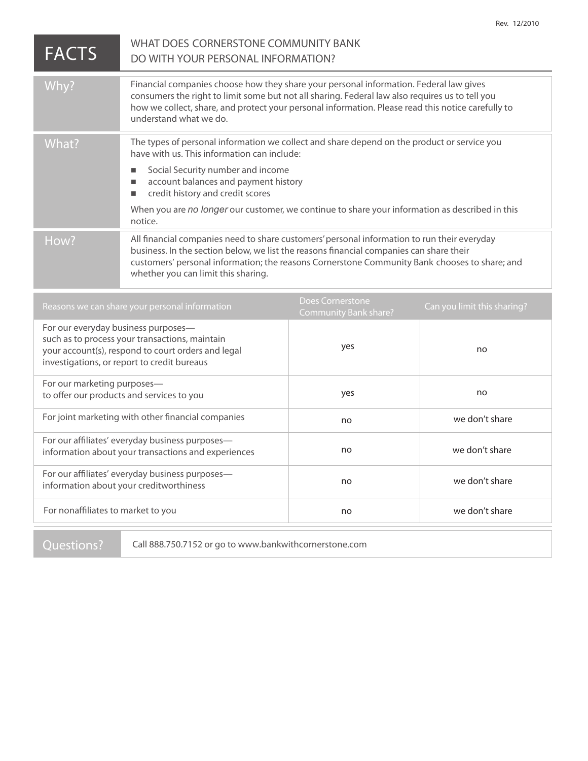| <b>FACTS</b>                                                                                                                                                                               | WHAT DOES CORNERSTONE COMMUNITY BANK<br>DO WITH YOUR PERSONAL INFORMATION?                                                                                                                                                                                                                                                     |                                                  |                             |
|--------------------------------------------------------------------------------------------------------------------------------------------------------------------------------------------|--------------------------------------------------------------------------------------------------------------------------------------------------------------------------------------------------------------------------------------------------------------------------------------------------------------------------------|--------------------------------------------------|-----------------------------|
| Why?                                                                                                                                                                                       | Financial companies choose how they share your personal information. Federal law gives<br>consumers the right to limit some but not all sharing. Federal law also requires us to tell you<br>how we collect, share, and protect your personal information. Please read this notice carefully to<br>understand what we do.      |                                                  |                             |
| What?                                                                                                                                                                                      | The types of personal information we collect and share depend on the product or service you<br>have with us. This information can include:                                                                                                                                                                                     |                                                  |                             |
|                                                                                                                                                                                            | Social Security number and income<br>$\blacksquare$<br>account balances and payment history<br>$\Box$<br>credit history and credit scores<br>$\blacksquare$                                                                                                                                                                    |                                                  |                             |
|                                                                                                                                                                                            | When you are no longer our customer, we continue to share your information as described in this<br>notice.                                                                                                                                                                                                                     |                                                  |                             |
| How?                                                                                                                                                                                       | All financial companies need to share customers' personal information to run their everyday<br>business. In the section below, we list the reasons financial companies can share their<br>customers' personal information; the reasons Cornerstone Community Bank chooses to share; and<br>whether you can limit this sharing. |                                                  |                             |
| Reasons we can share your personal information                                                                                                                                             |                                                                                                                                                                                                                                                                                                                                | <b>Does Cornerstone</b><br>Community Bank share? | Can you limit this sharing? |
| For our everyday business purposes-<br>such as to process your transactions, maintain<br>your account(s), respond to court orders and legal<br>investigations, or report to credit bureaus |                                                                                                                                                                                                                                                                                                                                | yes                                              | no                          |
| For our marketing purposes-<br>to offer our products and services to you                                                                                                                   |                                                                                                                                                                                                                                                                                                                                | yes                                              | no                          |
| For joint marketing with other financial companies                                                                                                                                         |                                                                                                                                                                                                                                                                                                                                | no                                               | we don't share              |
| For our affiliates' everyday business purposes-<br>information about your transactions and experiences                                                                                     |                                                                                                                                                                                                                                                                                                                                | no                                               | we don't share              |
| For our affiliates' everyday business purposes-<br>information about your creditworthiness                                                                                                 |                                                                                                                                                                                                                                                                                                                                | no                                               | we don't share              |
|                                                                                                                                                                                            |                                                                                                                                                                                                                                                                                                                                |                                                  |                             |

no

Rev. 12/2010

we don't share

**For nonaffiliates to market to you**

**Questions?** Call 888.750.7152 or go to www.bankwithcornerstone.com